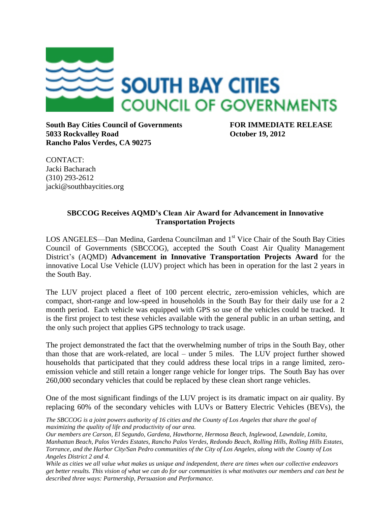

**South Bay Cities Council of Governments FOR IMMEDIATE RELEASE 5033 Rockvalley Road October 19, 2012 Rancho Palos Verdes, CA 90275**

CONTACT: Jacki Bacharach (310) 293-2612 jacki@southbaycities.org

## **SBCCOG Receives AQMD's Clean Air Award for Advancement in Innovative Transportation Projects**

LOS ANGELES—Dan Medina, Gardena Councilman and 1<sup>st</sup> Vice Chair of the South Bay Cities Council of Governments (SBCCOG), accepted the South Coast Air Quality Management District's (AQMD) **Advancement in Innovative Transportation Projects Award** for the innovative Local Use Vehicle (LUV) project which has been in operation for the last 2 years in the South Bay.

The LUV project placed a fleet of 100 percent electric, zero-emission vehicles, which are compact, short-range and low-speed in households in the South Bay for their daily use for a 2 month period. Each vehicle was equipped with GPS so use of the vehicles could be tracked. It is the first project to test these vehicles available with the general public in an urban setting, and the only such project that applies GPS technology to track usage.

The project demonstrated the fact that the overwhelming number of trips in the South Bay, other than those that are work-related, are local – under 5 miles. The LUV project further showed households that participated that they could address these local trips in a range limited, zeroemission vehicle and still retain a longer range vehicle for longer trips. The South Bay has over 260,000 secondary vehicles that could be replaced by these clean short range vehicles.

One of the most significant findings of the LUV project is its dramatic impact on air quality. By replacing 60% of the secondary vehicles with LUVs or Battery Electric Vehicles (BEVs), the

*The SBCCOG is a joint powers authority of 16 cities and the County of Los Angeles that share the goal of maximizing the quality of life and productivity of our area.*

*Our members are Carson, El Segundo, Gardena, Hawthorne, Hermosa Beach, Inglewood, Lawndale, Lomita, Manhattan Beach, Palos Verdes Estates, Rancho Palos Verdes, Redondo Beach, Rolling Hills, Rolling Hills Estates, Torrance, and the Harbor City/San Pedro communities of the City of Los Angeles, along with the County of Los Angeles District 2 and 4.*

*While as cities we all value what makes us unique and independent, there are times when our collective endeavors get better results. This vision of what we can do for our communities is what motivates our members and can best be described three ways: Partnership, Persuasion and Performance.*